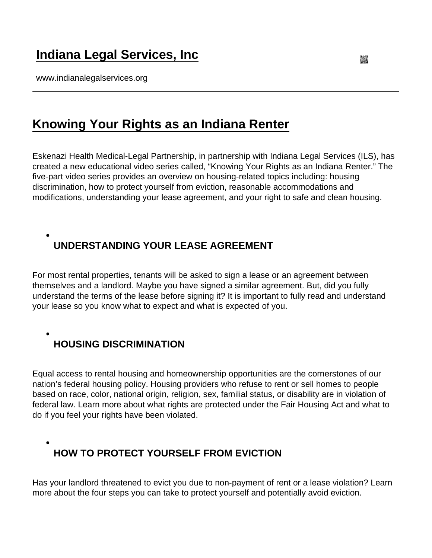### [Indiana Legal Services, Inc](https://www.indianalegalservices.org/)

www.indianalegalservices.org

#### [Knowing Your Rights as an Indiana Renter](https://www.indianalegalservices.org/knowing-your-rights-indiana-renter)

Eskenazi Health Medical-Legal Partnership, in partnership with Indiana Legal Services (ILS), has created a new educational video series called, "Knowing Your Rights as an Indiana Renter." The five-part video series provides an overview on housing-related topics including: housing discrimination, how to protect yourself from eviction, reasonable accommodations and modifications, understanding your lease agreement, and your right to safe and clean housing.

## UNDERSTANDING YOUR LEASE AGREEMENT

For most rental properties, tenants will be asked to sign a lease or an agreement between themselves and a landlord. Maybe you have signed a similar agreement. But, did you fully understand the terms of the lease before signing it? It is important to fully read and understand your lease so you know what to expect and what is expected of you.

HOUSING DISCRIMINATION

Equal access to rental housing and homeownership opportunities are the cornerstones of our nation's federal housing policy. Housing providers who refuse to rent or sell homes to people based on race, color, national origin, religion, sex, familial status, or disability are in violation of federal law. Learn more about what rights are protected under the Fair Housing Act and what to do if you feel your rights have been violated.

HOW TO PROTECT YOURSELF FROM EVICTION

Has your landlord threatened to evict you due to non-payment of rent or a lease violation? Learn more about the four steps you can take to protect yourself and potentially avoid eviction.